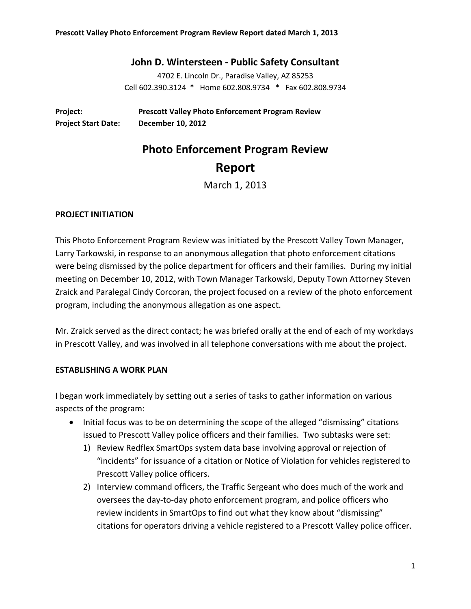# **John D. Wintersteen ‐ Public Safety Consultant**

4702 E. Lincoln Dr., Paradise Valley, AZ 85253 Cell 602.390.3124 \* Home 602.808.9734 \* Fax 602.808.9734

**Project: Prescott Valley Photo Enforcement Program Review Project Start Date: December 10, 2012**

# **Photo Enforcement Program Review Report**

March 1, 2013

#### **PROJECT INITIATION**

This Photo Enforcement Program Review was initiated by the Prescott Valley Town Manager, Larry Tarkowski, in response to an anonymous allegation that photo enforcement citations were being dismissed by the police department for officers and their families. During my initial meeting on December 10, 2012, with Town Manager Tarkowski, Deputy Town Attorney Steven Zraick and Paralegal Cindy Corcoran, the project focused on a review of the photo enforcement program, including the anonymous allegation as one aspect.

Mr. Zraick served as the direct contact; he was briefed orally at the end of each of my workdays in Prescott Valley, and was involved in all telephone conversations with me about the project.

## **ESTABLISHING A WORK PLAN**

I began work immediately by setting out a series of tasks to gather information on various aspects of the program:

- Initial focus was to be on determining the scope of the alleged "dismissing" citations issued to Prescott Valley police officers and their families. Two subtasks were set:
	- 1) Review Redflex SmartOps system data base involving approval or rejection of "incidents" for issuance of a citation or Notice of Violation for vehicles registered to Prescott Valley police officers.
	- 2) Interview command officers, the Traffic Sergeant who does much of the work and oversees the day‐to‐day photo enforcement program, and police officers who review incidents in SmartOps to find out what they know about "dismissing" citations for operators driving a vehicle registered to a Prescott Valley police officer.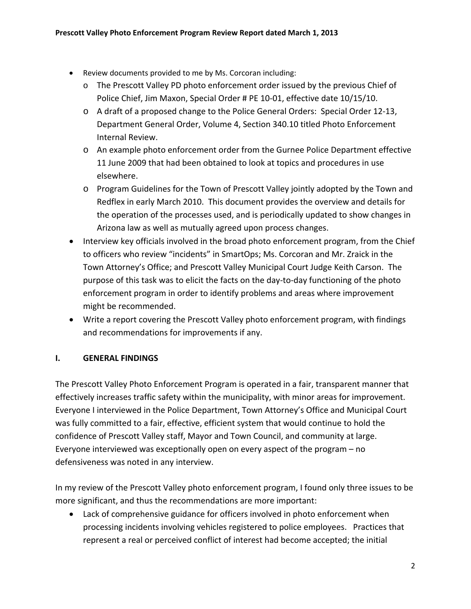- Review documents provided to me by Ms. Corcoran including:
	- o The Prescott Valley PD photo enforcement order issued by the previous Chief of Police Chief, Jim Maxon, Special Order # PE 10‐01, effective date 10/15/10.
	- o A draft of a proposed change to the Police General Orders: Special Order 12‐13, Department General Order, Volume 4, Section 340.10 titled Photo Enforcement Internal Review.
	- o An example photo enforcement order from the Gurnee Police Department effective 11 June 2009 that had been obtained to look at topics and procedures in use elsewhere.
	- o Program Guidelines for the Town of Prescott Valley jointly adopted by the Town and Redflex in early March 2010. This document provides the overview and details for the operation of the processes used, and is periodically updated to show changes in Arizona law as well as mutually agreed upon process changes.
- Interview key officials involved in the broad photo enforcement program, from the Chief to officers who review "incidents" in SmartOps; Ms. Corcoran and Mr. Zraick in the Town Attorney's Office; and Prescott Valley Municipal Court Judge Keith Carson. The purpose of this task was to elicit the facts on the day‐to‐day functioning of the photo enforcement program in order to identify problems and areas where improvement might be recommended.
- Write a report covering the Prescott Valley photo enforcement program, with findings and recommendations for improvements if any.

# **I. GENERAL FINDINGS**

The Prescott Valley Photo Enforcement Program is operated in a fair, transparent manner that effectively increases traffic safety within the municipality, with minor areas for improvement. Everyone I interviewed in the Police Department, Town Attorney's Office and Municipal Court was fully committed to a fair, effective, efficient system that would continue to hold the confidence of Prescott Valley staff, Mayor and Town Council, and community at large. Everyone interviewed was exceptionally open on every aspect of the program – no defensiveness was noted in any interview.

In my review of the Prescott Valley photo enforcement program, I found only three issues to be more significant, and thus the recommendations are more important:

 Lack of comprehensive guidance for officers involved in photo enforcement when processing incidents involving vehicles registered to police employees. Practices that represent a real or perceived conflict of interest had become accepted; the initial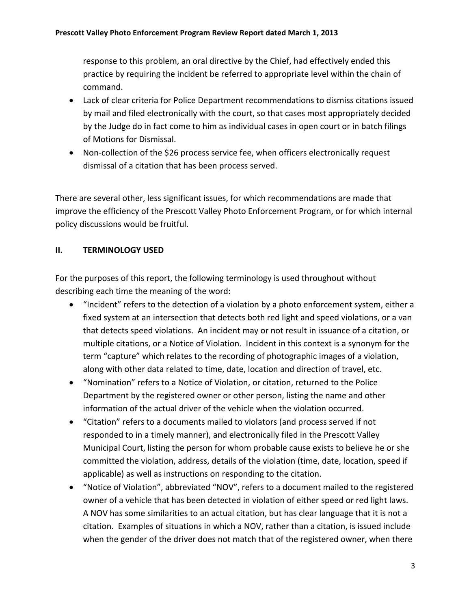response to this problem, an oral directive by the Chief, had effectively ended this practice by requiring the incident be referred to appropriate level within the chain of command.

- Lack of clear criteria for Police Department recommendations to dismiss citations issued by mail and filed electronically with the court, so that cases most appropriately decided by the Judge do in fact come to him as individual cases in open court or in batch filings of Motions for Dismissal.
- Non-collection of the \$26 process service fee, when officers electronically request dismissal of a citation that has been process served.

There are several other, less significant issues, for which recommendations are made that improve the efficiency of the Prescott Valley Photo Enforcement Program, or for which internal policy discussions would be fruitful.

# **II. TERMINOLOGY USED**

For the purposes of this report, the following terminology is used throughout without describing each time the meaning of the word:

- "Incident" refers to the detection of a violation by a photo enforcement system, either a fixed system at an intersection that detects both red light and speed violations, or a van that detects speed violations. An incident may or not result in issuance of a citation, or multiple citations, or a Notice of Violation. Incident in this context is a synonym for the term "capture" which relates to the recording of photographic images of a violation, along with other data related to time, date, location and direction of travel, etc.
- "Nomination" refers to a Notice of Violation, or citation, returned to the Police Department by the registered owner or other person, listing the name and other information of the actual driver of the vehicle when the violation occurred.
- "Citation" refers to a documents mailed to violators (and process served if not responded to in a timely manner), and electronically filed in the Prescott Valley Municipal Court, listing the person for whom probable cause exists to believe he or she committed the violation, address, details of the violation (time, date, location, speed if applicable) as well as instructions on responding to the citation.
- "Notice of Violation", abbreviated "NOV", refers to a document mailed to the registered owner of a vehicle that has been detected in violation of either speed or red light laws. A NOV has some similarities to an actual citation, but has clear language that it is not a citation. Examples of situations in which a NOV, rather than a citation, is issued include when the gender of the driver does not match that of the registered owner, when there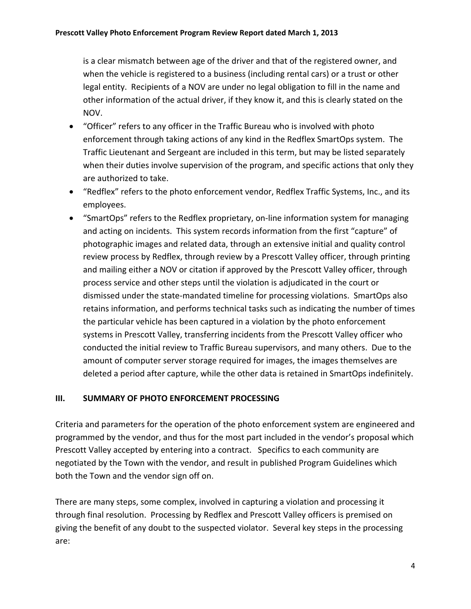is a clear mismatch between age of the driver and that of the registered owner, and when the vehicle is registered to a business (including rental cars) or a trust or other legal entity. Recipients of a NOV are under no legal obligation to fill in the name and other information of the actual driver, if they know it, and this is clearly stated on the NOV.

- "Officer" refers to any officer in the Traffic Bureau who is involved with photo enforcement through taking actions of any kind in the Redflex SmartOps system. The Traffic Lieutenant and Sergeant are included in this term, but may be listed separately when their duties involve supervision of the program, and specific actions that only they are authorized to take.
- "Redflex" refers to the photo enforcement vendor, Redflex Traffic Systems, Inc., and its employees.
- "SmartOps" refers to the Redflex proprietary, on-line information system for managing and acting on incidents. This system records information from the first "capture" of photographic images and related data, through an extensive initial and quality control review process by Redflex, through review by a Prescott Valley officer, through printing and mailing either a NOV or citation if approved by the Prescott Valley officer, through process service and other steps until the violation is adjudicated in the court or dismissed under the state‐mandated timeline for processing violations. SmartOps also retains information, and performs technical tasks such as indicating the number of times the particular vehicle has been captured in a violation by the photo enforcement systems in Prescott Valley, transferring incidents from the Prescott Valley officer who conducted the initial review to Traffic Bureau supervisors, and many others. Due to the amount of computer server storage required for images, the images themselves are deleted a period after capture, while the other data is retained in SmartOps indefinitely.

## **III. SUMMARY OF PHOTO ENFORCEMENT PROCESSING**

Criteria and parameters for the operation of the photo enforcement system are engineered and programmed by the vendor, and thus for the most part included in the vendor's proposal which Prescott Valley accepted by entering into a contract. Specifics to each community are negotiated by the Town with the vendor, and result in published Program Guidelines which both the Town and the vendor sign off on.

There are many steps, some complex, involved in capturing a violation and processing it through final resolution. Processing by Redflex and Prescott Valley officers is premised on giving the benefit of any doubt to the suspected violator. Several key steps in the processing are: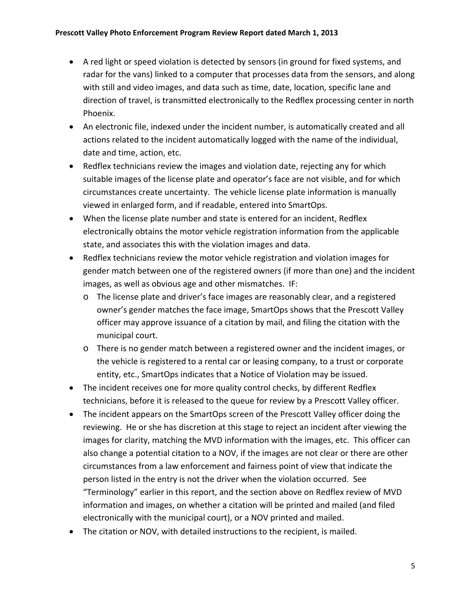- A red light or speed violation is detected by sensors (in ground for fixed systems, and radar for the vans) linked to a computer that processes data from the sensors, and along with still and video images, and data such as time, date, location, specific lane and direction of travel, is transmitted electronically to the Redflex processing center in north Phoenix.
- An electronic file, indexed under the incident number, is automatically created and all actions related to the incident automatically logged with the name of the individual, date and time, action, etc.
- Redflex technicians review the images and violation date, rejecting any for which suitable images of the license plate and operator's face are not visible, and for which circumstances create uncertainty. The vehicle license plate information is manually viewed in enlarged form, and if readable, entered into SmartOps.
- When the license plate number and state is entered for an incident, Redflex electronically obtains the motor vehicle registration information from the applicable state, and associates this with the violation images and data.
- Redflex technicians review the motor vehicle registration and violation images for gender match between one of the registered owners (if more than one) and the incident images, as well as obvious age and other mismatches. IF:
	- o The license plate and driver's face images are reasonably clear, and a registered owner's gender matches the face image, SmartOps shows that the Prescott Valley officer may approve issuance of a citation by mail, and filing the citation with the municipal court.
	- o There is no gender match between a registered owner and the incident images, or the vehicle is registered to a rental car or leasing company, to a trust or corporate entity, etc., SmartOps indicates that a Notice of Violation may be issued.
- The incident receives one for more quality control checks, by different Redflex technicians, before it is released to the queue for review by a Prescott Valley officer.
- The incident appears on the SmartOps screen of the Prescott Valley officer doing the reviewing. He or she has discretion at this stage to reject an incident after viewing the images for clarity, matching the MVD information with the images, etc. This officer can also change a potential citation to a NOV, if the images are not clear or there are other circumstances from a law enforcement and fairness point of view that indicate the person listed in the entry is not the driver when the violation occurred. See "Terminology" earlier in this report, and the section above on Redflex review of MVD information and images, on whether a citation will be printed and mailed (and filed electronically with the municipal court), or a NOV printed and mailed.
- The citation or NOV, with detailed instructions to the recipient, is mailed.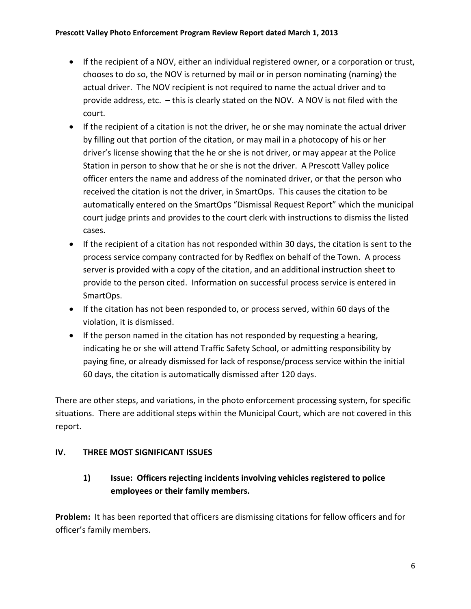- If the recipient of a NOV, either an individual registered owner, or a corporation or trust, chooses to do so, the NOV is returned by mail or in person nominating (naming) the actual driver. The NOV recipient is not required to name the actual driver and to provide address, etc. – this is clearly stated on the NOV. A NOV is not filed with the court.
- If the recipient of a citation is not the driver, he or she may nominate the actual driver by filling out that portion of the citation, or may mail in a photocopy of his or her driver's license showing that the he or she is not driver, or may appear at the Police Station in person to show that he or she is not the driver. A Prescott Valley police officer enters the name and address of the nominated driver, or that the person who received the citation is not the driver, in SmartOps. This causes the citation to be automatically entered on the SmartOps "Dismissal Request Report" which the municipal court judge prints and provides to the court clerk with instructions to dismiss the listed cases.
- If the recipient of a citation has not responded within 30 days, the citation is sent to the process service company contracted for by Redflex on behalf of the Town. A process server is provided with a copy of the citation, and an additional instruction sheet to provide to the person cited. Information on successful process service is entered in SmartOps.
- If the citation has not been responded to, or process served, within 60 days of the violation, it is dismissed.
- If the person named in the citation has not responded by requesting a hearing, indicating he or she will attend Traffic Safety School, or admitting responsibility by paying fine, or already dismissed for lack of response/process service within the initial 60 days, the citation is automatically dismissed after 120 days.

There are other steps, and variations, in the photo enforcement processing system, for specific situations. There are additional steps within the Municipal Court, which are not covered in this report.

# **IV. THREE MOST SIGNIFICANT ISSUES**

# **1) Issue: Officers rejecting incidents involving vehicles registered to police employees or their family members.**

**Problem:** It has been reported that officers are dismissing citations for fellow officers and for officer's family members.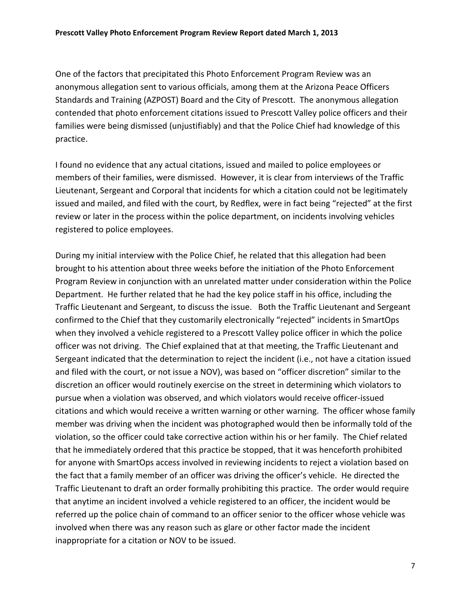One of the factors that precipitated this Photo Enforcement Program Review was an anonymous allegation sent to various officials, among them at the Arizona Peace Officers Standards and Training (AZPOST) Board and the City of Prescott. The anonymous allegation contended that photo enforcement citations issued to Prescott Valley police officers and their families were being dismissed (unjustifiably) and that the Police Chief had knowledge of this practice.

I found no evidence that any actual citations, issued and mailed to police employees or members of their families, were dismissed. However, it is clear from interviews of the Traffic Lieutenant, Sergeant and Corporal that incidents for which a citation could not be legitimately issued and mailed, and filed with the court, by Redflex, were in fact being "rejected" at the first review or later in the process within the police department, on incidents involving vehicles registered to police employees.

During my initial interview with the Police Chief, he related that this allegation had been brought to his attention about three weeks before the initiation of the Photo Enforcement Program Review in conjunction with an unrelated matter under consideration within the Police Department. He further related that he had the key police staff in his office, including the Traffic Lieutenant and Sergeant, to discuss the issue. Both the Traffic Lieutenant and Sergeant confirmed to the Chief that they customarily electronically "rejected" incidents in SmartOps when they involved a vehicle registered to a Prescott Valley police officer in which the police officer was not driving. The Chief explained that at that meeting, the Traffic Lieutenant and Sergeant indicated that the determination to reject the incident (i.e., not have a citation issued and filed with the court, or not issue a NOV), was based on "officer discretion" similar to the discretion an officer would routinely exercise on the street in determining which violators to pursue when a violation was observed, and which violators would receive officer‐issued citations and which would receive a written warning or other warning. The officer whose family member was driving when the incident was photographed would then be informally told of the violation, so the officer could take corrective action within his or her family. The Chief related that he immediately ordered that this practice be stopped, that it was henceforth prohibited for anyone with SmartOps access involved in reviewing incidents to reject a violation based on the fact that a family member of an officer was driving the officer's vehicle. He directed the Traffic Lieutenant to draft an order formally prohibiting this practice. The order would require that anytime an incident involved a vehicle registered to an officer, the incident would be referred up the police chain of command to an officer senior to the officer whose vehicle was involved when there was any reason such as glare or other factor made the incident inappropriate for a citation or NOV to be issued.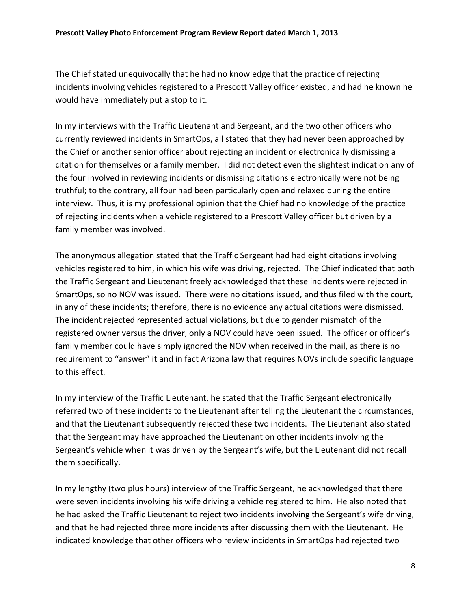The Chief stated unequivocally that he had no knowledge that the practice of rejecting incidents involving vehicles registered to a Prescott Valley officer existed, and had he known he would have immediately put a stop to it.

In my interviews with the Traffic Lieutenant and Sergeant, and the two other officers who currently reviewed incidents in SmartOps, all stated that they had never been approached by the Chief or another senior officer about rejecting an incident or electronically dismissing a citation for themselves or a family member. I did not detect even the slightest indication any of the four involved in reviewing incidents or dismissing citations electronically were not being truthful; to the contrary, all four had been particularly open and relaxed during the entire interview. Thus, it is my professional opinion that the Chief had no knowledge of the practice of rejecting incidents when a vehicle registered to a Prescott Valley officer but driven by a family member was involved.

The anonymous allegation stated that the Traffic Sergeant had had eight citations involving vehicles registered to him, in which his wife was driving, rejected. The Chief indicated that both the Traffic Sergeant and Lieutenant freely acknowledged that these incidents were rejected in SmartOps, so no NOV was issued. There were no citations issued, and thus filed with the court, in any of these incidents; therefore, there is no evidence any actual citations were dismissed. The incident rejected represented actual violations, but due to gender mismatch of the registered owner versus the driver, only a NOV could have been issued. The officer or officer's family member could have simply ignored the NOV when received in the mail, as there is no requirement to "answer" it and in fact Arizona law that requires NOVs include specific language to this effect.

In my interview of the Traffic Lieutenant, he stated that the Traffic Sergeant electronically referred two of these incidents to the Lieutenant after telling the Lieutenant the circumstances, and that the Lieutenant subsequently rejected these two incidents. The Lieutenant also stated that the Sergeant may have approached the Lieutenant on other incidents involving the Sergeant's vehicle when it was driven by the Sergeant's wife, but the Lieutenant did not recall them specifically.

In my lengthy (two plus hours) interview of the Traffic Sergeant, he acknowledged that there were seven incidents involving his wife driving a vehicle registered to him. He also noted that he had asked the Traffic Lieutenant to reject two incidents involving the Sergeant's wife driving, and that he had rejected three more incidents after discussing them with the Lieutenant. He indicated knowledge that other officers who review incidents in SmartOps had rejected two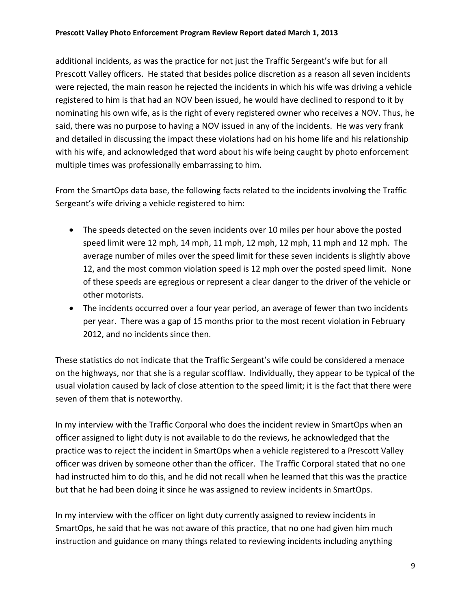#### **Prescott Valley Photo Enforcement Program Review Report dated March 1, 2013**

additional incidents, as was the practice for not just the Traffic Sergeant's wife but for all Prescott Valley officers. He stated that besides police discretion as a reason all seven incidents were rejected, the main reason he rejected the incidents in which his wife was driving a vehicle registered to him is that had an NOV been issued, he would have declined to respond to it by nominating his own wife, as is the right of every registered owner who receives a NOV. Thus, he said, there was no purpose to having a NOV issued in any of the incidents. He was very frank and detailed in discussing the impact these violations had on his home life and his relationship with his wife, and acknowledged that word about his wife being caught by photo enforcement multiple times was professionally embarrassing to him.

From the SmartOps data base, the following facts related to the incidents involving the Traffic Sergeant's wife driving a vehicle registered to him:

- The speeds detected on the seven incidents over 10 miles per hour above the posted speed limit were 12 mph, 14 mph, 11 mph, 12 mph, 12 mph, 11 mph and 12 mph. The average number of miles over the speed limit for these seven incidents is slightly above 12, and the most common violation speed is 12 mph over the posted speed limit. None of these speeds are egregious or represent a clear danger to the driver of the vehicle or other motorists.
- The incidents occurred over a four year period, an average of fewer than two incidents per year. There was a gap of 15 months prior to the most recent violation in February 2012, and no incidents since then.

These statistics do not indicate that the Traffic Sergeant's wife could be considered a menace on the highways, nor that she is a regular scofflaw. Individually, they appear to be typical of the usual violation caused by lack of close attention to the speed limit; it is the fact that there were seven of them that is noteworthy.

In my interview with the Traffic Corporal who does the incident review in SmartOps when an officer assigned to light duty is not available to do the reviews, he acknowledged that the practice was to reject the incident in SmartOps when a vehicle registered to a Prescott Valley officer was driven by someone other than the officer. The Traffic Corporal stated that no one had instructed him to do this, and he did not recall when he learned that this was the practice but that he had been doing it since he was assigned to review incidents in SmartOps.

In my interview with the officer on light duty currently assigned to review incidents in SmartOps, he said that he was not aware of this practice, that no one had given him much instruction and guidance on many things related to reviewing incidents including anything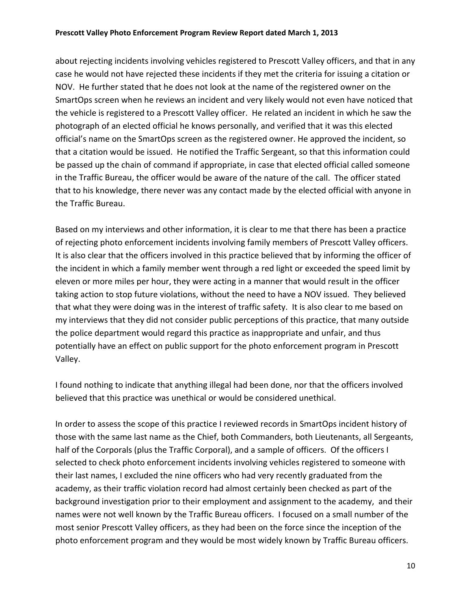about rejecting incidents involving vehicles registered to Prescott Valley officers, and that in any case he would not have rejected these incidents if they met the criteria for issuing a citation or NOV. He further stated that he does not look at the name of the registered owner on the SmartOps screen when he reviews an incident and very likely would not even have noticed that the vehicle is registered to a Prescott Valley officer. He related an incident in which he saw the photograph of an elected official he knows personally, and verified that it was this elected official's name on the SmartOps screen as the registered owner. He approved the incident, so that a citation would be issued. He notified the Traffic Sergeant, so that this information could be passed up the chain of command if appropriate, in case that elected official called someone in the Traffic Bureau, the officer would be aware of the nature of the call. The officer stated that to his knowledge, there never was any contact made by the elected official with anyone in the Traffic Bureau.

Based on my interviews and other information, it is clear to me that there has been a practice of rejecting photo enforcement incidents involving family members of Prescott Valley officers. It is also clear that the officers involved in this practice believed that by informing the officer of the incident in which a family member went through a red light or exceeded the speed limit by eleven or more miles per hour, they were acting in a manner that would result in the officer taking action to stop future violations, without the need to have a NOV issued. They believed that what they were doing was in the interest of traffic safety. It is also clear to me based on my interviews that they did not consider public perceptions of this practice, that many outside the police department would regard this practice as inappropriate and unfair, and thus potentially have an effect on public support for the photo enforcement program in Prescott Valley.

I found nothing to indicate that anything illegal had been done, nor that the officers involved believed that this practice was unethical or would be considered unethical.

In order to assess the scope of this practice I reviewed records in SmartOps incident history of those with the same last name as the Chief, both Commanders, both Lieutenants, all Sergeants, half of the Corporals (plus the Traffic Corporal), and a sample of officers. Of the officers I selected to check photo enforcement incidents involving vehicles registered to someone with their last names, I excluded the nine officers who had very recently graduated from the academy, as their traffic violation record had almost certainly been checked as part of the background investigation prior to their employment and assignment to the academy, and their names were not well known by the Traffic Bureau officers. I focused on a small number of the most senior Prescott Valley officers, as they had been on the force since the inception of the photo enforcement program and they would be most widely known by Traffic Bureau officers.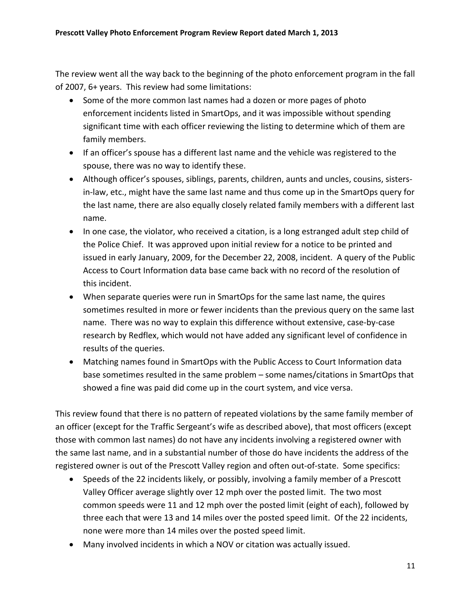The review went all the way back to the beginning of the photo enforcement program in the fall of 2007, 6+ years. This review had some limitations:

- Some of the more common last names had a dozen or more pages of photo enforcement incidents listed in SmartOps, and it was impossible without spending significant time with each officer reviewing the listing to determine which of them are family members.
- If an officer's spouse has a different last name and the vehicle was registered to the spouse, there was no way to identify these.
- Although officer's spouses, siblings, parents, children, aunts and uncles, cousins, sisters in‐law, etc., might have the same last name and thus come up in the SmartOps query for the last name, there are also equally closely related family members with a different last name.
- In one case, the violator, who received a citation, is a long estranged adult step child of the Police Chief. It was approved upon initial review for a notice to be printed and issued in early January, 2009, for the December 22, 2008, incident. A query of the Public Access to Court Information data base came back with no record of the resolution of this incident.
- When separate queries were run in SmartOps for the same last name, the quires sometimes resulted in more or fewer incidents than the previous query on the same last name. There was no way to explain this difference without extensive, case-by-case research by Redflex, which would not have added any significant level of confidence in results of the queries.
- Matching names found in SmartOps with the Public Access to Court Information data base sometimes resulted in the same problem – some names/citations in SmartOps that showed a fine was paid did come up in the court system, and vice versa.

This review found that there is no pattern of repeated violations by the same family member of an officer (except for the Traffic Sergeant's wife as described above), that most officers (except those with common last names) do not have any incidents involving a registered owner with the same last name, and in a substantial number of those do have incidents the address of the registered owner is out of the Prescott Valley region and often out‐of‐state. Some specifics:

- Speeds of the 22 incidents likely, or possibly, involving a family member of a Prescott Valley Officer average slightly over 12 mph over the posted limit. The two most common speeds were 11 and 12 mph over the posted limit (eight of each), followed by three each that were 13 and 14 miles over the posted speed limit. Of the 22 incidents, none were more than 14 miles over the posted speed limit.
- Many involved incidents in which a NOV or citation was actually issued.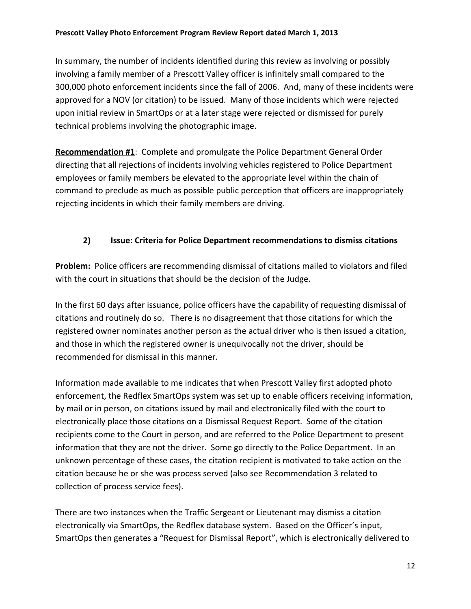In summary, the number of incidents identified during this review as involving or possibly involving a family member of a Prescott Valley officer is infinitely small compared to the 300,000 photo enforcement incidents since the fall of 2006. And, many of these incidents were approved for a NOV (or citation) to be issued. Many of those incidents which were rejected upon initial review in SmartOps or at a later stage were rejected or dismissed for purely technical problems involving the photographic image.

**Recommendation #1**: Complete and promulgate the Police Department General Order directing that all rejections of incidents involving vehicles registered to Police Department employees or family members be elevated to the appropriate level within the chain of command to preclude as much as possible public perception that officers are inappropriately rejecting incidents in which their family members are driving.

# **2) Issue: Criteria for Police Department recommendations to dismiss citations**

**Problem:** Police officers are recommending dismissal of citations mailed to violators and filed with the court in situations that should be the decision of the Judge.

In the first 60 days after issuance, police officers have the capability of requesting dismissal of citations and routinely do so. There is no disagreement that those citations for which the registered owner nominates another person as the actual driver who is then issued a citation, and those in which the registered owner is unequivocally not the driver, should be recommended for dismissal in this manner.

Information made available to me indicates that when Prescott Valley first adopted photo enforcement, the Redflex SmartOps system was set up to enable officers receiving information, by mail or in person, on citations issued by mail and electronically filed with the court to electronically place those citations on a Dismissal Request Report. Some of the citation recipients come to the Court in person, and are referred to the Police Department to present information that they are not the driver. Some go directly to the Police Department. In an unknown percentage of these cases, the citation recipient is motivated to take action on the citation because he or she was process served (also see Recommendation 3 related to collection of process service fees).

There are two instances when the Traffic Sergeant or Lieutenant may dismiss a citation electronically via SmartOps, the Redflex database system. Based on the Officer's input, SmartOps then generates a "Request for Dismissal Report", which is electronically delivered to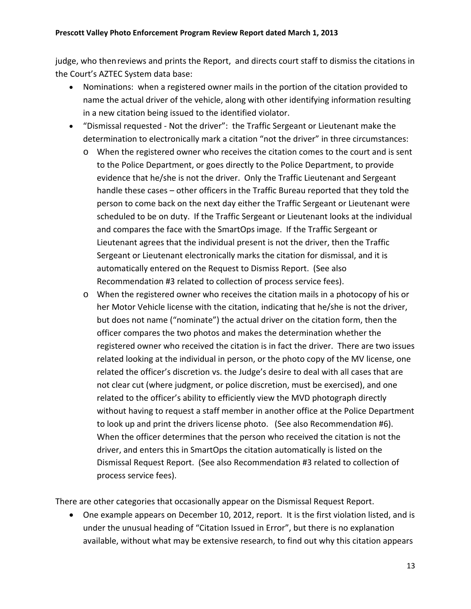judge, who thenreviews and prints the Report, and directs court staff to dismiss the citations in the Court's AZTEC System data base:

- Nominations: when a registered owner mails in the portion of the citation provided to name the actual driver of the vehicle, along with other identifying information resulting in a new citation being issued to the identified violator.
- "Dismissal requested ‐ Not the driver": the Traffic Sergeant or Lieutenant make the determination to electronically mark a citation "not the driver" in three circumstances:
	- o When the registered owner who receives the citation comes to the court and is sent to the Police Department, or goes directly to the Police Department, to provide evidence that he/she is not the driver. Only the Traffic Lieutenant and Sergeant handle these cases – other officers in the Traffic Bureau reported that they told the person to come back on the next day either the Traffic Sergeant or Lieutenant were scheduled to be on duty. If the Traffic Sergeant or Lieutenant looks at the individual and compares the face with the SmartOps image. If the Traffic Sergeant or Lieutenant agrees that the individual present is not the driver, then the Traffic Sergeant or Lieutenant electronically marks the citation for dismissal, and it is automatically entered on the Request to Dismiss Report. (See also Recommendation #3 related to collection of process service fees).
	- o When the registered owner who receives the citation mails in a photocopy of his or her Motor Vehicle license with the citation, indicating that he/she is not the driver, but does not name ("nominate") the actual driver on the citation form, then the officer compares the two photos and makes the determination whether the registered owner who received the citation is in fact the driver. There are two issues related looking at the individual in person, or the photo copy of the MV license, one related the officer's discretion vs. the Judge's desire to deal with all cases that are not clear cut (where judgment, or police discretion, must be exercised), and one related to the officer's ability to efficiently view the MVD photograph directly without having to request a staff member in another office at the Police Department to look up and print the drivers license photo. (See also Recommendation #6). When the officer determines that the person who received the citation is not the driver, and enters this in SmartOps the citation automatically is listed on the Dismissal Request Report. (See also Recommendation #3 related to collection of process service fees).

There are other categories that occasionally appear on the Dismissal Request Report.

 One example appears on December 10, 2012, report. It is the first violation listed, and is under the unusual heading of "Citation Issued in Error", but there is no explanation available, without what may be extensive research, to find out why this citation appears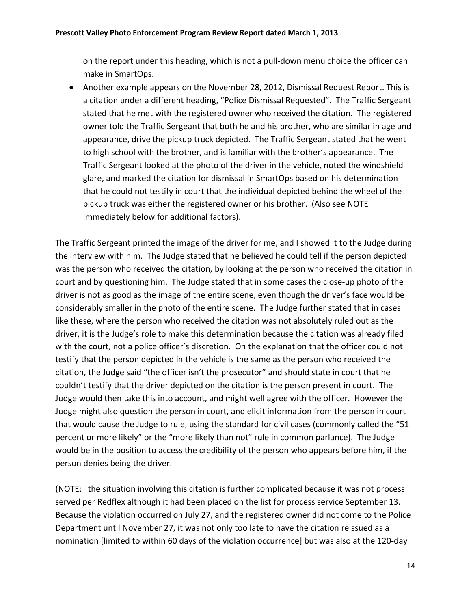on the report under this heading, which is not a pull‐down menu choice the officer can make in SmartOps.

 Another example appears on the November 28, 2012, Dismissal Request Report. This is a citation under a different heading, "Police Dismissal Requested". The Traffic Sergeant stated that he met with the registered owner who received the citation. The registered owner told the Traffic Sergeant that both he and his brother, who are similar in age and appearance, drive the pickup truck depicted. The Traffic Sergeant stated that he went to high school with the brother, and is familiar with the brother's appearance. The Traffic Sergeant looked at the photo of the driver in the vehicle, noted the windshield glare, and marked the citation for dismissal in SmartOps based on his determination that he could not testify in court that the individual depicted behind the wheel of the pickup truck was either the registered owner or his brother. (Also see NOTE immediately below for additional factors).

The Traffic Sergeant printed the image of the driver for me, and I showed it to the Judge during the interview with him. The Judge stated that he believed he could tell if the person depicted was the person who received the citation, by looking at the person who received the citation in court and by questioning him. The Judge stated that in some cases the close-up photo of the driver is not as good as the image of the entire scene, even though the driver's face would be considerably smaller in the photo of the entire scene. The Judge further stated that in cases like these, where the person who received the citation was not absolutely ruled out as the driver, it is the Judge's role to make this determination because the citation was already filed with the court, not a police officer's discretion. On the explanation that the officer could not testify that the person depicted in the vehicle is the same as the person who received the citation, the Judge said "the officer isn't the prosecutor" and should state in court that he couldn't testify that the driver depicted on the citation is the person present in court. The Judge would then take this into account, and might well agree with the officer. However the Judge might also question the person in court, and elicit information from the person in court that would cause the Judge to rule, using the standard for civil cases (commonly called the "51 percent or more likely" or the "more likely than not" rule in common parlance). The Judge would be in the position to access the credibility of the person who appears before him, if the person denies being the driver.

(NOTE: the situation involving this citation is further complicated because it was not process served per Redflex although it had been placed on the list for process service September 13. Because the violation occurred on July 27, and the registered owner did not come to the Police Department until November 27, it was not only too late to have the citation reissued as a nomination [limited to within 60 days of the violation occurrence] but was also at the 120‐day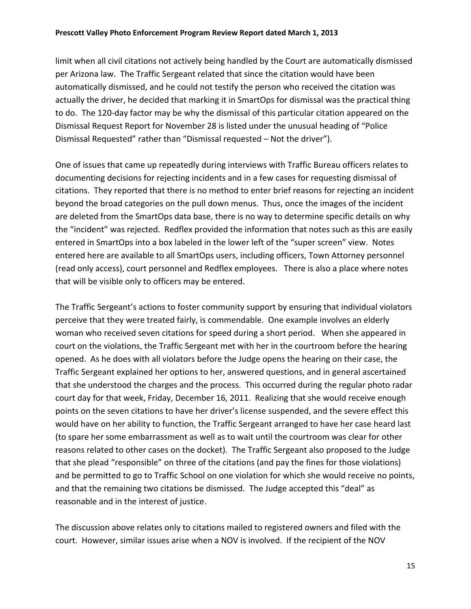#### **Prescott Valley Photo Enforcement Program Review Report dated March 1, 2013**

limit when all civil citations not actively being handled by the Court are automatically dismissed per Arizona law. The Traffic Sergeant related that since the citation would have been automatically dismissed, and he could not testify the person who received the citation was actually the driver, he decided that marking it in SmartOps for dismissal was the practical thing to do. The 120‐day factor may be why the dismissal of this particular citation appeared on the Dismissal Request Report for November 28 is listed under the unusual heading of "Police Dismissal Requested" rather than "Dismissal requested – Not the driver").

One of issues that came up repeatedly during interviews with Traffic Bureau officers relates to documenting decisions for rejecting incidents and in a few cases for requesting dismissal of citations. They reported that there is no method to enter brief reasons for rejecting an incident beyond the broad categories on the pull down menus. Thus, once the images of the incident are deleted from the SmartOps data base, there is no way to determine specific details on why the "incident" was rejected. Redflex provided the information that notes such as this are easily entered in SmartOps into a box labeled in the lower left of the "super screen" view. Notes entered here are available to all SmartOps users, including officers, Town Attorney personnel (read only access), court personnel and Redflex employees. There is also a place where notes that will be visible only to officers may be entered.

The Traffic Sergeant's actions to foster community support by ensuring that individual violators perceive that they were treated fairly, is commendable. One example involves an elderly woman who received seven citations for speed during a short period. When she appeared in court on the violations, the Traffic Sergeant met with her in the courtroom before the hearing opened. As he does with all violators before the Judge opens the hearing on their case, the Traffic Sergeant explained her options to her, answered questions, and in general ascertained that she understood the charges and the process. This occurred during the regular photo radar court day for that week, Friday, December 16, 2011. Realizing that she would receive enough points on the seven citations to have her driver's license suspended, and the severe effect this would have on her ability to function, the Traffic Sergeant arranged to have her case heard last (to spare her some embarrassment as well as to wait until the courtroom was clear for other reasons related to other cases on the docket). The Traffic Sergeant also proposed to the Judge that she plead "responsible" on three of the citations (and pay the fines for those violations) and be permitted to go to Traffic School on one violation for which she would receive no points, and that the remaining two citations be dismissed. The Judge accepted this "deal" as reasonable and in the interest of justice.

The discussion above relates only to citations mailed to registered owners and filed with the court. However, similar issues arise when a NOV is involved. If the recipient of the NOV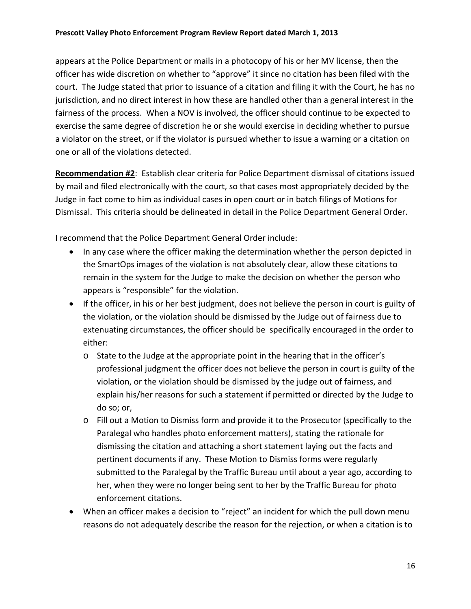#### **Prescott Valley Photo Enforcement Program Review Report dated March 1, 2013**

appears at the Police Department or mails in a photocopy of his or her MV license, then the officer has wide discretion on whether to "approve" it since no citation has been filed with the court. The Judge stated that prior to issuance of a citation and filing it with the Court, he has no jurisdiction, and no direct interest in how these are handled other than a general interest in the fairness of the process. When a NOV is involved, the officer should continue to be expected to exercise the same degree of discretion he or she would exercise in deciding whether to pursue a violator on the street, or if the violator is pursued whether to issue a warning or a citation on one or all of the violations detected.

**Recommendation #2**: Establish clear criteria for Police Department dismissal of citations issued by mail and filed electronically with the court, so that cases most appropriately decided by the Judge in fact come to him as individual cases in open court or in batch filings of Motions for Dismissal. This criteria should be delineated in detail in the Police Department General Order.

I recommend that the Police Department General Order include:

- In any case where the officer making the determination whether the person depicted in the SmartOps images of the violation is not absolutely clear, allow these citations to remain in the system for the Judge to make the decision on whether the person who appears is "responsible" for the violation.
- If the officer, in his or her best judgment, does not believe the person in court is guilty of the violation, or the violation should be dismissed by the Judge out of fairness due to extenuating circumstances, the officer should be specifically encouraged in the order to either:
	- o State to the Judge at the appropriate point in the hearing that in the officer's professional judgment the officer does not believe the person in court is guilty of the violation, or the violation should be dismissed by the judge out of fairness, and explain his/her reasons for such a statement if permitted or directed by the Judge to do so; or,
	- o Fill out a Motion to Dismiss form and provide it to the Prosecutor (specifically to the Paralegal who handles photo enforcement matters), stating the rationale for dismissing the citation and attaching a short statement laying out the facts and pertinent documents if any. These Motion to Dismiss forms were regularly submitted to the Paralegal by the Traffic Bureau until about a year ago, according to her, when they were no longer being sent to her by the Traffic Bureau for photo enforcement citations.
- When an officer makes a decision to "reject" an incident for which the pull down menu reasons do not adequately describe the reason for the rejection, or when a citation is to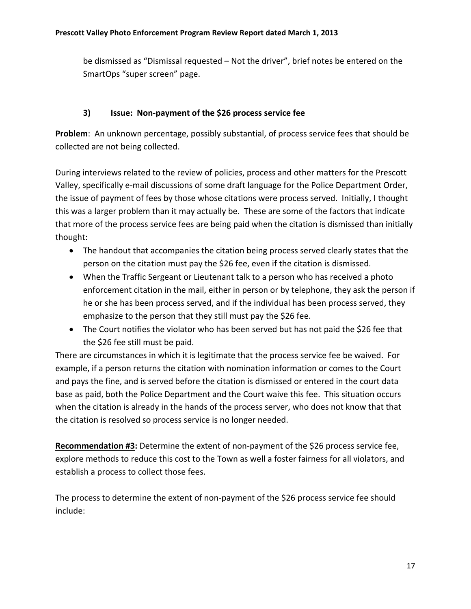be dismissed as "Dismissal requested – Not the driver", brief notes be entered on the SmartOps "super screen" page.

# **3) Issue: Non‐payment of the \$26 process service fee**

**Problem**: An unknown percentage, possibly substantial, of process service fees that should be collected are not being collected.

During interviews related to the review of policies, process and other matters for the Prescott Valley, specifically e‐mail discussions of some draft language for the Police Department Order, the issue of payment of fees by those whose citations were process served. Initially, I thought this was a larger problem than it may actually be. These are some of the factors that indicate that more of the process service fees are being paid when the citation is dismissed than initially thought:

- The handout that accompanies the citation being process served clearly states that the person on the citation must pay the \$26 fee, even if the citation is dismissed.
- When the Traffic Sergeant or Lieutenant talk to a person who has received a photo enforcement citation in the mail, either in person or by telephone, they ask the person if he or she has been process served, and if the individual has been process served, they emphasize to the person that they still must pay the \$26 fee.
- The Court notifies the violator who has been served but has not paid the \$26 fee that the \$26 fee still must be paid.

There are circumstances in which it is legitimate that the process service fee be waived. For example, if a person returns the citation with nomination information or comes to the Court and pays the fine, and is served before the citation is dismissed or entered in the court data base as paid, both the Police Department and the Court waive this fee. This situation occurs when the citation is already in the hands of the process server, who does not know that that the citation is resolved so process service is no longer needed.

**Recommendation #3:** Determine the extent of non‐payment of the \$26 process service fee, explore methods to reduce this cost to the Town as well a foster fairness for all violators, and establish a process to collect those fees.

The process to determine the extent of non‐payment of the \$26 process service fee should include: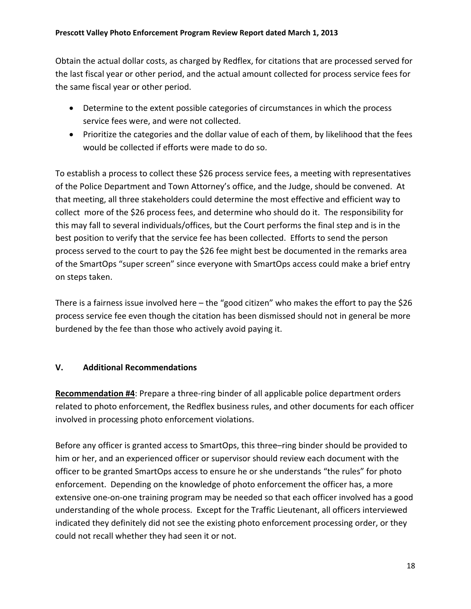Obtain the actual dollar costs, as charged by Redflex, for citations that are processed served for the last fiscal year or other period, and the actual amount collected for process service fees for the same fiscal year or other period.

- Determine to the extent possible categories of circumstances in which the process service fees were, and were not collected.
- Prioritize the categories and the dollar value of each of them, by likelihood that the fees would be collected if efforts were made to do so.

To establish a process to collect these \$26 process service fees, a meeting with representatives of the Police Department and Town Attorney's office, and the Judge, should be convened. At that meeting, all three stakeholders could determine the most effective and efficient way to collect more of the \$26 process fees, and determine who should do it. The responsibility for this may fall to several individuals/offices, but the Court performs the final step and is in the best position to verify that the service fee has been collected. Efforts to send the person process served to the court to pay the \$26 fee might best be documented in the remarks area of the SmartOps "super screen" since everyone with SmartOps access could make a brief entry on steps taken.

There is a fairness issue involved here – the "good citizen" who makes the effort to pay the \$26 process service fee even though the citation has been dismissed should not in general be more burdened by the fee than those who actively avoid paying it.

## **V. Additional Recommendations**

**Recommendation #4**: Prepare a three‐ring binder of all applicable police department orders related to photo enforcement, the Redflex business rules, and other documents for each officer involved in processing photo enforcement violations.

Before any officer is granted access to SmartOps, this three–ring binder should be provided to him or her, and an experienced officer or supervisor should review each document with the officer to be granted SmartOps access to ensure he or she understands "the rules" for photo enforcement. Depending on the knowledge of photo enforcement the officer has, a more extensive one‐on‐one training program may be needed so that each officer involved has a good understanding of the whole process. Except for the Traffic Lieutenant, all officers interviewed indicated they definitely did not see the existing photo enforcement processing order, or they could not recall whether they had seen it or not.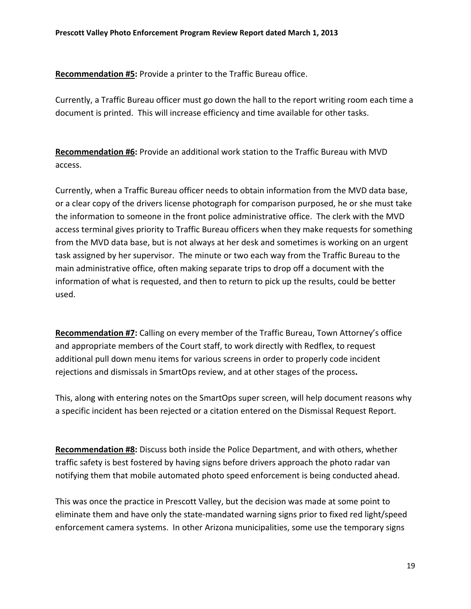**Recommendation #5:** Provide a printer to the Traffic Bureau office.

Currently, a Traffic Bureau officer must go down the hall to the report writing room each time a document is printed. This will increase efficiency and time available for other tasks.

**Recommendation #6:** Provide an additional work station to the Traffic Bureau with MVD access.

Currently, when a Traffic Bureau officer needs to obtain information from the MVD data base, or a clear copy of the drivers license photograph for comparison purposed, he or she must take the information to someone in the front police administrative office. The clerk with the MVD access terminal gives priority to Traffic Bureau officers when they make requests for something from the MVD data base, but is not always at her desk and sometimes is working on an urgent task assigned by her supervisor. The minute or two each way from the Traffic Bureau to the main administrative office, often making separate trips to drop off a document with the information of what is requested, and then to return to pick up the results, could be better used.

**Recommendation #7:** Calling on every member of the Traffic Bureau, Town Attorney's office and appropriate members of the Court staff, to work directly with Redflex, to request additional pull down menu items for various screens in order to properly code incident rejections and dismissals in SmartOps review, and at other stages of the process**.** 

This, along with entering notes on the SmartOps super screen, will help document reasons why a specific incident has been rejected or a citation entered on the Dismissal Request Report.

**Recommendation #8:** Discuss both inside the Police Department, and with others, whether traffic safety is best fostered by having signs before drivers approach the photo radar van notifying them that mobile automated photo speed enforcement is being conducted ahead.

This was once the practice in Prescott Valley, but the decision was made at some point to eliminate them and have only the state‐mandated warning signs prior to fixed red light/speed enforcement camera systems. In other Arizona municipalities, some use the temporary signs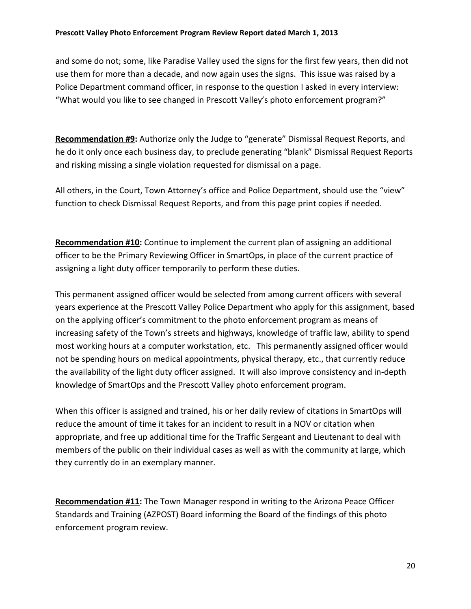and some do not; some, like Paradise Valley used the signs for the first few years, then did not use them for more than a decade, and now again uses the signs. This issue was raised by a Police Department command officer, in response to the question I asked in every interview: "What would you like to see changed in Prescott Valley's photo enforcement program?"

**Recommendation #9:** Authorize only the Judge to "generate" Dismissal Request Reports, and he do it only once each business day, to preclude generating "blank" Dismissal Request Reports and risking missing a single violation requested for dismissal on a page.

All others, in the Court, Town Attorney's office and Police Department, should use the "view" function to check Dismissal Request Reports, and from this page print copies if needed.

**Recommendation #10:** Continue to implement the current plan of assigning an additional officer to be the Primary Reviewing Officer in SmartOps, in place of the current practice of assigning a light duty officer temporarily to perform these duties.

This permanent assigned officer would be selected from among current officers with several years experience at the Prescott Valley Police Department who apply for this assignment, based on the applying officer's commitment to the photo enforcement program as means of increasing safety of the Town's streets and highways, knowledge of traffic law, ability to spend most working hours at a computer workstation, etc. This permanently assigned officer would not be spending hours on medical appointments, physical therapy, etc., that currently reduce the availability of the light duty officer assigned. It will also improve consistency and in‐depth knowledge of SmartOps and the Prescott Valley photo enforcement program.

When this officer is assigned and trained, his or her daily review of citations in SmartOps will reduce the amount of time it takes for an incident to result in a NOV or citation when appropriate, and free up additional time for the Traffic Sergeant and Lieutenant to deal with members of the public on their individual cases as well as with the community at large, which they currently do in an exemplary manner.

**Recommendation #11:** The Town Manager respond in writing to the Arizona Peace Officer Standards and Training (AZPOST) Board informing the Board of the findings of this photo enforcement program review.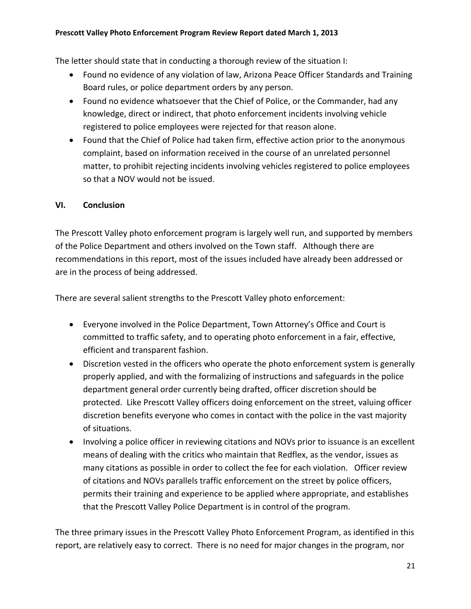#### **Prescott Valley Photo Enforcement Program Review Report dated March 1, 2013**

The letter should state that in conducting a thorough review of the situation I:

- Found no evidence of any violation of law, Arizona Peace Officer Standards and Training Board rules, or police department orders by any person.
- Found no evidence whatsoever that the Chief of Police, or the Commander, had any knowledge, direct or indirect, that photo enforcement incidents involving vehicle registered to police employees were rejected for that reason alone.
- Found that the Chief of Police had taken firm, effective action prior to the anonymous complaint, based on information received in the course of an unrelated personnel matter, to prohibit rejecting incidents involving vehicles registered to police employees so that a NOV would not be issued.

### **VI. Conclusion**

The Prescott Valley photo enforcement program is largely well run, and supported by members of the Police Department and others involved on the Town staff. Although there are recommendations in this report, most of the issues included have already been addressed or are in the process of being addressed.

There are several salient strengths to the Prescott Valley photo enforcement:

- Everyone involved in the Police Department, Town Attorney's Office and Court is committed to traffic safety, and to operating photo enforcement in a fair, effective, efficient and transparent fashion.
- Discretion vested in the officers who operate the photo enforcement system is generally properly applied, and with the formalizing of instructions and safeguards in the police department general order currently being drafted, officer discretion should be protected. Like Prescott Valley officers doing enforcement on the street, valuing officer discretion benefits everyone who comes in contact with the police in the vast majority of situations.
- Involving a police officer in reviewing citations and NOVs prior to issuance is an excellent means of dealing with the critics who maintain that Redflex, as the vendor, issues as many citations as possible in order to collect the fee for each violation. Officer review of citations and NOVs parallels traffic enforcement on the street by police officers, permits their training and experience to be applied where appropriate, and establishes that the Prescott Valley Police Department is in control of the program.

The three primary issues in the Prescott Valley Photo Enforcement Program, as identified in this report, are relatively easy to correct. There is no need for major changes in the program, nor